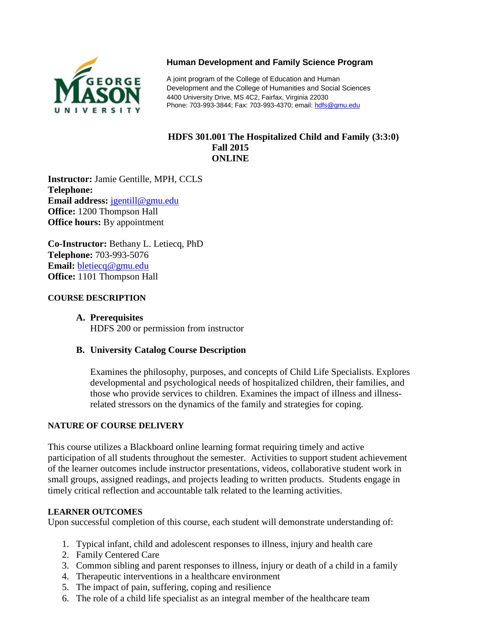

# **Human Development and Family Science Program**

A joint program of the College of Education and Human Development and the College of Humanities and Social Sciences 4400 University Drive, MS 4C2, Fairfax, Virginia 22030 Phone: 703-993-3844; Fax: 703-993-4370; email[: hdfs@gmu.edu](mailto:hdfs@gmu.edu)

#### **[HDFS 301.001](http://hdfs.gmu.edu/) The Hospitalized Child and Family (3:3:0) Fall 2015 ONLINE**

**Instructor:** Jamie Gentille, MPH, CCLS **Telephone: Email address:** [jgentill@gmu.edu](mailto:jgentill@gmu.edu) **Office:** 1200 Thompson Hall **Office hours:** By appointment

**Co-Instructor:** Bethany L. Letiecq, PhD **Telephone:** 703-993-5076 **Email:** [bletiecq@gmu.edu](mailto:bletiecq@gmu.edu) **Office:** 1101 Thompson Hall

#### **COURSE DESCRIPTION**

#### **A. Prerequisites**

HDFS 200 or permission from instructor

# **B. University Catalog Course Description**

Examines the philosophy, purposes, and concepts of Child Life Specialists. Explores developmental and psychological needs of hospitalized children, their families, and those who provide services to children. Examines the impact of illness and illnessrelated stressors on the dynamics of the family and strategies for coping.

#### **NATURE OF COURSE DELIVERY**

This course utilizes a Blackboard online learning format requiring timely and active participation of all students throughout the semester. Activities to support student achievement of the learner outcomes include instructor presentations, videos, collaborative student work in small groups, assigned readings, and projects leading to written products. Students engage in timely critical reflection and accountable talk related to the learning activities.

#### **LEARNER OUTCOMES**

Upon successful completion of this course, each student will demonstrate understanding of:

- 1. Typical infant, child and adolescent responses to illness, injury and health care
- 2. Family Centered Care
- 3. Common sibling and parent responses to illness, injury or death of a child in a family
- 4. Therapeutic interventions in a healthcare environment
- 5. The impact of pain, suffering, coping and resilience
- 6. The role of a child life specialist as an integral member of the healthcare team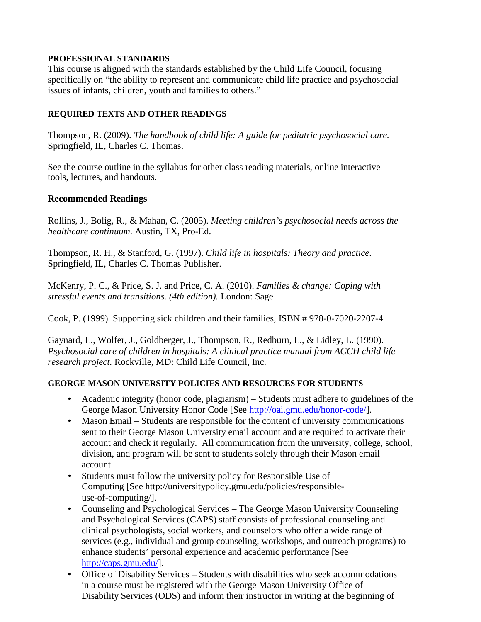#### **PROFESSIONAL STANDARDS**

This course is aligned with the standards established by the Child Life Council, focusing specifically on "the ability to represent and communicate child life practice and psychosocial issues of infants, children, youth and families to others."

#### **REQUIRED TEXTS AND OTHER READINGS**

Thompson, R. (2009). *The handbook of child life: A guide for pediatric psychosocial care.* Springfield, IL, Charles C. Thomas.

See the course outline in the syllabus for other class reading materials, online interactive tools, lectures, and handouts.

#### **Recommended Readings**

Rollins, J., Bolig, R., & Mahan, C. (2005). *Meeting children's psychosocial needs across the healthcare continuum.* Austin, TX, Pro-Ed.

Thompson, R. H., & Stanford, G. (1997). *Child life in hospitals: Theory and practice*. Springfield, IL, Charles C. Thomas Publisher.

McKenry, P. C., & Price, S. J. and Price, C. A. (2010). *Families & change: Coping with stressful events and transitions. (4th edition).* London: Sage

Cook, P. (1999). Supporting sick children and their families, ISBN # 978-0-7020-2207-4

Gaynard, L., Wolfer, J., Goldberger, J., Thompson, R., Redburn, L., & Lidley, L. (1990). *Psychosocial care of children in hospitals: A clinical practice manual from ACCH child life research project.* Rockville, MD: Child Life Council, Inc.

# **GEORGE MASON UNIVERSITY POLICIES AND RESOURCES FOR STUDENTS**

- Academic integrity (honor code, plagiarism) Students must adhere to guidelines of the George Mason University Honor Code [See http:[//oai.gmu.edu/honor-code/\]](http://oai.gmu.edu/honor-code/).
- Mason Email Students are responsible for the content of university communications sent to their George Mason University email account and are required to activate their account and check it regularly. All communication from the university, college, school, division, and program will be sent to students solely through their Mason email account.
- Students must follow the university policy for Responsible Use of Computing [See [http://universitypolicy.gmu.edu/policies/responsible](http://universitypolicy.gmu.edu/policies/responsible-use-of-computing/)[use-of-computing/\]](http://universitypolicy.gmu.edu/policies/responsible-use-of-computing/).
- Counseling and Psychological Services The George Mason University Counseling and Psychological Services (CAPS) staff consists of professional counseling and clinical psychologists, social workers, and counselors who offer a wide range of services (e.g., individual and group counseling, workshops, and outreach programs) to enhance students' personal experience and academic performance [See [http://caps.gmu.edu/\]](http://caps.gmu.edu/).
- Office of Disability Services Students with disabilities who seek accommodations in a course must be registered with the George Mason University Office of Disability Services (ODS) and inform their instructor in writing at the beginning of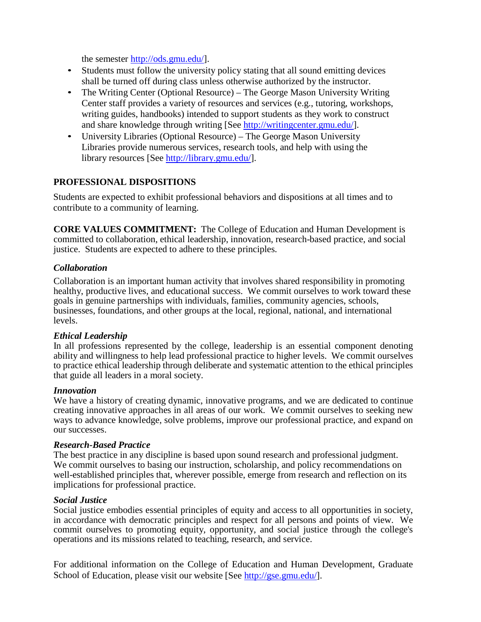the semester [http://ods.gmu.edu/\]](http://ods.gmu.edu/).

- Students must follow the university policy stating that all sound emitting devices shall be turned off during class unless otherwise authorized by the instructor.
- The Writing Center (Optional Resource) The George Mason University Writing Center staff provides a variety of resources and services (e.g., tutoring, workshops, writing guides, handbooks) intended to support students as they work to construct and share knowledge through writing [See [http://writingcenter.gmu.edu/\]](http://writingcenter.gmu.edu/).
- University Libraries (Optional Resource) The George Mason University Libraries provide numerous services, research tools, and help with using the library resources [See [http://library.gmu.edu/\]](http://library.gmu.edu/).

#### **PROFESSIONAL DISPOSITIONS**

Students are expected to exhibit professional behaviors and dispositions at all times and to contribute to a community of learning.

**CORE VALUES COMMITMENT:** The College of Education and Human Development is committed to collaboration, ethical leadership, innovation, research-based practice, and social justice. Students are expected to adhere to these principles.

#### *Collaboration*

Collaboration is an important human activity that involves shared responsibility in promoting healthy, productive lives, and educational success. We commit ourselves to work toward these goals in genuine partnerships with individuals, families, community agencies, schools, businesses, foundations, and other groups at the local, regional, national, and international levels.

#### *Ethical Leadership*

In all professions represented by the college, leadership is an essential component denoting ability and willingness to help lead professional practice to higher levels. We commit ourselves to practice ethical leadership through deliberate and systematic attention to the ethical principles that guide all leaders in a moral society.

#### *Innovation*

We have a history of creating dynamic, innovative programs, and we are dedicated to continue creating innovative approaches in all areas of our work. We commit ourselves to seeking new ways to advance knowledge, solve problems, improve our professional practice, and expand on our successes.

#### *Research-Based Practice*

The best practice in any discipline is based upon sound research and professional judgment. We commit ourselves to basing our instruction, scholarship, and policy recommendations on well-established principles that, wherever possible, emerge from research and reflection on its implications for professional practice.

#### *Social Justice*

Social justice embodies essential principles of equity and access to all opportunities in society, in accordance with democratic principles and respect for all persons and points of view. We commit ourselves to promoting equity, opportunity, and social justice through the college's operations and its missions related to teaching, research, and service.

For additional information on the College of Education and Human Development, Graduate School of Education, please visit our website [See [http://gse.gmu.edu/\]](http://gse.gmu.edu/).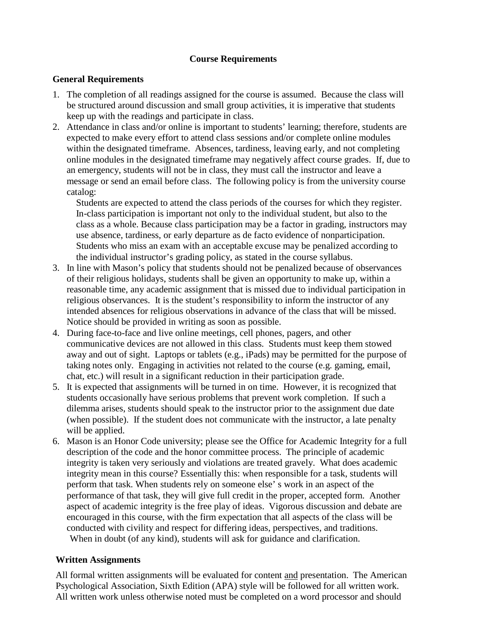# **Course Requirements**

#### **General Requirements**

- 1. The completion of all readings assigned for the course is assumed. Because the class will be structured around discussion and small group activities, it is imperative that students keep up with the readings and participate in class.
- 2. Attendance in class and/or online is important to students' learning; therefore, students are expected to make every effort to attend class sessions and/or complete online modules within the designated timeframe. Absences, tardiness, leaving early, and not completing online modules in the designated timeframe may negatively affect course grades. If, due to an emergency, students will not be in class, they must call the instructor and leave a message or send an email before class. The following policy is from the university course catalog:

Students are expected to attend the class periods of the courses for which they register. In-class participation is important not only to the individual student, but also to the class as a whole. Because class participation may be a factor in grading, instructors may use absence, tardiness, or early departure as de facto evidence of nonparticipation. Students who miss an exam with an acceptable excuse may be penalized according to the individual instructor's grading policy, as stated in the course syllabus.

- 3. In line with Mason's policy that students should not be penalized because of observances of their religious holidays, students shall be given an opportunity to make up, within a reasonable time, any academic assignment that is missed due to individual participation in religious observances. It is the student's responsibility to inform the instructor of any intended absences for religious observations in advance of the class that will be missed. Notice should be provided in writing as soon as possible.
- 4. During face-to-face and live online meetings, cell phones, pagers, and other communicative devices are not allowed in this class. Students must keep them stowed away and out of sight. Laptops or tablets (e.g., iPads) may be permitted for the purpose of taking notes only. Engaging in activities not related to the course (e.g. gaming, email, chat, etc.) will result in a significant reduction in their participation grade.
- 5. It is expected that assignments will be turned in on time. However, it is recognized that students occasionally have serious problems that prevent work completion. If such a dilemma arises, students should speak to the instructor prior to the assignment due date (when possible). If the student does not communicate with the instructor, a late penalty will be applied.
- 6. Mason is an Honor Code university; please see the Office for Academic Integrity for a full description of the code and the honor committee process. The principle of academic integrity is taken very seriously and violations are treated gravely. What does academic integrity mean in this course? Essentially this: when responsible for a task, students will perform that task. When students rely on someone else' s work in an aspect of the performance of that task, they will give full credit in the proper, accepted form. Another aspect of academic integrity is the free play of ideas. Vigorous discussion and debate are encouraged in this course, with the firm expectation that all aspects of the class will be conducted with civility and respect for differing ideas, perspectives, and traditions. When in doubt (of any kind), students will ask for guidance and clarification.

# **Written Assignments**

All formal written assignments will be evaluated for content and presentation. The American Psychological Association, Sixth Edition (APA) style will be followed for all written work. All written work unless otherwise noted must be completed on a word processor and should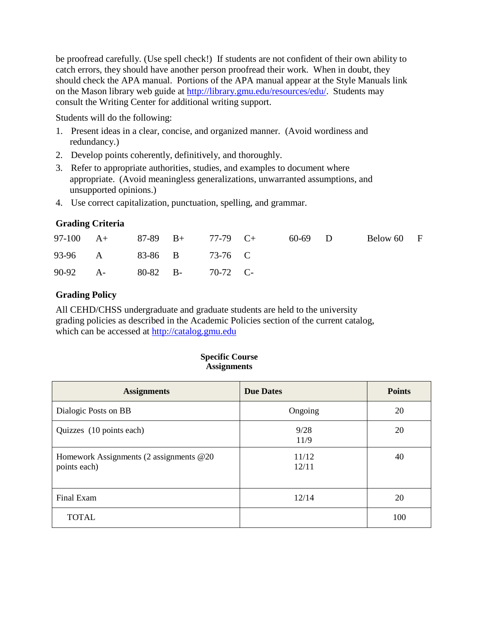be proofread carefully. (Use spell check!) If students are not confident of their own ability to catch errors, they should have another person proofread their work. When in doubt, they should check the APA manual. Portions of the APA manual appear at the Style Manuals link on the Mason library web guide at [http://library.gmu.edu/resources/edu/.](http://library.gmu.edu/resources/edu/) Students may consult the Writing Center for additional writing support.

Students will do the following:

- 1. Present ideas in a clear, concise, and organized manner. (Avoid wordiness and redundancy.)
- 2. Develop points coherently, definitively, and thoroughly.
- 3. Refer to appropriate authorities, studies, and examples to document where appropriate. (Avoid meaningless generalizations, unwarranted assumptions, and unsupported opinions.)
- 4. Use correct capitalization, punctuation, spelling, and grammar.

# **Grading Criteria**

| 97-100 $A+$ 87-89 $B+$ 77-79 $C+$ |  |  | 60-69 D | Below 60 F |  |
|-----------------------------------|--|--|---------|------------|--|
| 93-96 A 83-86 B 73-76 C           |  |  |         |            |  |
| 90-92 A- 80-82 B- 70-72 C-        |  |  |         |            |  |

# **Grading Policy**

All CEHD/CHSS undergraduate and graduate students are held to the university grading policies as described in the Academic Policies section of the current catalog, which can be accessed at [http://catalog.gmu.edu](http://catalog.gmu.edu/)

| <b>Specific Course</b> |  |
|------------------------|--|
| <b>Assignments</b>     |  |

| <b>Assignments</b>                                       | <b>Due Dates</b> | <b>Points</b> |
|----------------------------------------------------------|------------------|---------------|
| Dialogic Posts on BB                                     | Ongoing          | 20            |
| Quizzes (10 points each)                                 | 9/28<br>11/9     | 20            |
| Homework Assignments (2 assignments @20)<br>points each) | 11/12<br>12/11   | 40            |
| Final Exam                                               | 12/14            | 20            |
| <b>TOTAL</b>                                             |                  | 100           |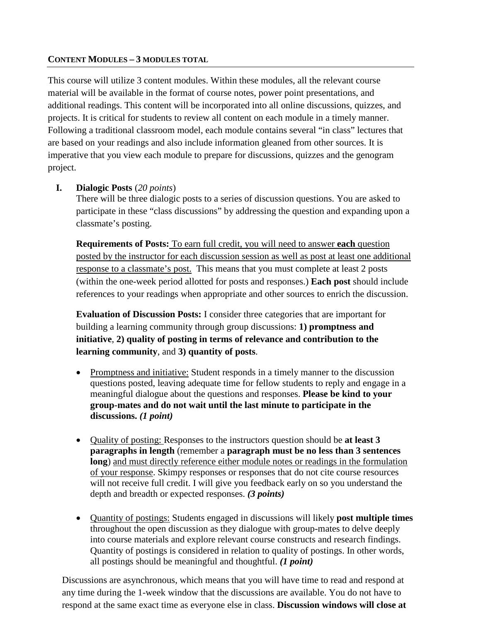#### **CONTENT MODULES – 3 MODULES TOTAL**

This course will utilize 3 content modules. Within these modules, all the relevant course material will be available in the format of course notes, power point presentations, and additional readings. This content will be incorporated into all online discussions, quizzes, and projects. It is critical for students to review all content on each module in a timely manner. Following a traditional classroom model, each module contains several "in class" lectures that are based on your readings and also include information gleaned from other sources. It is imperative that you view each module to prepare for discussions, quizzes and the genogram project.

# **I. Dialogic Posts** (*20 points*)

There will be three dialogic posts to a series of discussion questions. You are asked to participate in these "class discussions" by addressing the question and expanding upon a classmate's posting.

**Requirements of Posts:** To earn full credit, you will need to answer **each** question posted by the instructor for each discussion session as well as post at least one additional response to a classmate's post. This means that you must complete at least 2 posts (within the one-week period allotted for posts and responses.) **Each post** should include references to your readings when appropriate and other sources to enrich the discussion.

**Evaluation of Discussion Posts:** I consider three categories that are important for building a learning community through group discussions: **1) promptness and initiative**, **2) quality of posting in terms of relevance and contribution to the learning community**, and **3) quantity of posts**.

- Promptness and initiative: Student responds in a timely manner to the discussion questions posted, leaving adequate time for fellow students to reply and engage in a meaningful dialogue about the questions and responses. **Please be kind to your group-mates and do not wait until the last minute to participate in the discussions.** *(1 point)*
- Quality of posting: Responses to the instructors question should be **at least 3 paragraphs in length** (remember a **paragraph must be no less than 3 sentences long**) and must directly reference either module notes or readings in the formulation of your response. Skimpy responses or responses that do not cite course resources will not receive full credit. I will give you feedback early on so you understand the depth and breadth or expected responses. *(3 points)*
- Quantity of postings: Students engaged in discussions will likely **post multiple times** throughout the open discussion as they dialogue with group-mates to delve deeply into course materials and explore relevant course constructs and research findings. Quantity of postings is considered in relation to quality of postings. In other words, all postings should be meaningful and thoughtful. *(1 point)*

Discussions are asynchronous, which means that you will have time to read and respond at any time during the 1-week window that the discussions are available. You do not have to respond at the same exact time as everyone else in class. **Discussion windows will close at**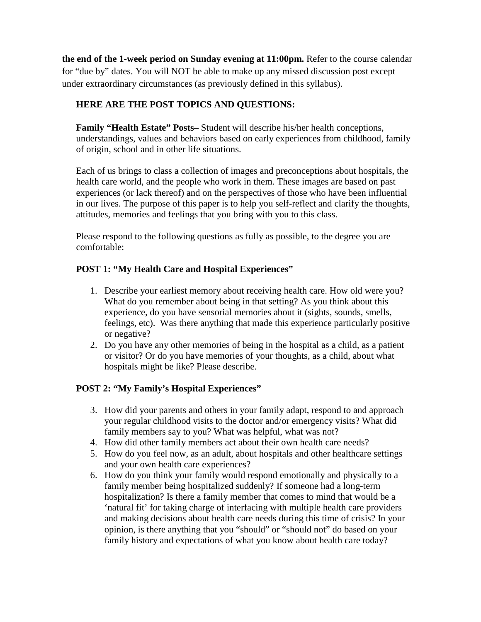**the end of the 1-week period on Sunday evening at 11:00pm.** Refer to the course calendar for "due by" dates. You will NOT be able to make up any missed discussion post except under extraordinary circumstances (as previously defined in this syllabus).

# **HERE ARE THE POST TOPICS AND QUESTIONS:**

**Family "Health Estate" Posts–** Student will describe his/her health conceptions, understandings, values and behaviors based on early experiences from childhood, family of origin, school and in other life situations.

Each of us brings to class a collection of images and preconceptions about hospitals, the health care world, and the people who work in them. These images are based on past experiences (or lack thereof) and on the perspectives of those who have been influential in our lives. The purpose of this paper is to help you self-reflect and clarify the thoughts, attitudes, memories and feelings that you bring with you to this class.

Please respond to the following questions as fully as possible, to the degree you are comfortable:

# **POST 1: "My Health Care and Hospital Experiences"**

- 1. Describe your earliest memory about receiving health care. How old were you? What do you remember about being in that setting? As you think about this experience, do you have sensorial memories about it (sights, sounds, smells, feelings, etc). Was there anything that made this experience particularly positive or negative?
- 2. Do you have any other memories of being in the hospital as a child, as a patient or visitor? Or do you have memories of your thoughts, as a child, about what hospitals might be like? Please describe.

# **POST 2: "My Family's Hospital Experiences"**

- 3. How did your parents and others in your family adapt, respond to and approach your regular childhood visits to the doctor and/or emergency visits? What did family members say to you? What was helpful, what was not?
- 4. How did other family members act about their own health care needs?
- 5. How do you feel now, as an adult, about hospitals and other healthcare settings and your own health care experiences?
- 6. How do you think your family would respond emotionally and physically to a family member being hospitalized suddenly? If someone had a long-term hospitalization? Is there a family member that comes to mind that would be a 'natural fit' for taking charge of interfacing with multiple health care providers and making decisions about health care needs during this time of crisis? In your opinion, is there anything that you "should" or "should not" do based on your family history and expectations of what you know about health care today?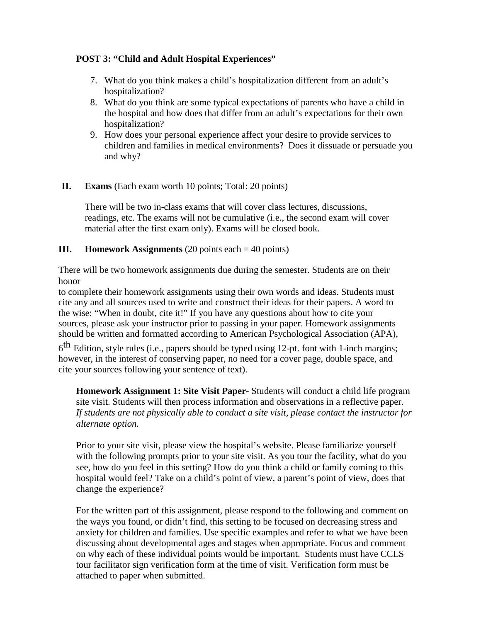# **POST 3: "Child and Adult Hospital Experiences"**

- 7. What do you think makes a child's hospitalization different from an adult's hospitalization?
- 8. What do you think are some typical expectations of parents who have a child in the hospital and how does that differ from an adult's expectations for their own hospitalization?
- 9. How does your personal experience affect your desire to provide services to children and families in medical environments? Does it dissuade or persuade you and why?

# **II. Exams** (Each exam worth 10 points; Total: 20 points)

There will be two in-class exams that will cover class lectures, discussions, readings, etc. The exams will not be cumulative (i.e., the second exam will cover material after the first exam only). Exams will be closed book.

#### **III. Homework Assignments** (20 points each = 40 points)

There will be two homework assignments due during the semester. Students are on their honor

to complete their homework assignments using their own words and ideas. Students must cite any and all sources used to write and construct their ideas for their papers. A word to the wise: "When in doubt, cite it!" If you have any questions about how to cite your sources, please ask your instructor prior to passing in your paper. Homework assignments should be written and formatted according to American Psychological Association (APA),

 $6<sup>th</sup>$  Edition, style rules (i.e., papers should be typed using 12-pt. font with 1-inch margins; however, in the interest of conserving paper, no need for a cover page, double space, and cite your sources following your sentence of text).

**Homework Assignment 1: Site Visit Paper-** Students will conduct a child life program site visit. Students will then process information and observations in a reflective paper. *If students are not physically able to conduct a site visit, please contact the instructor for alternate option.*

Prior to your site visit, please view the hospital's website. Please familiarize yourself with the following prompts prior to your site visit. As you tour the facility, what do you see, how do you feel in this setting? How do you think a child or family coming to this hospital would feel? Take on a child's point of view, a parent's point of view, does that change the experience?

For the written part of this assignment, please respond to the following and comment on the ways you found, or didn't find, this setting to be focused on decreasing stress and anxiety for children and families. Use specific examples and refer to what we have been discussing about developmental ages and stages when appropriate. Focus and comment on why each of these individual points would be important. Students must have CCLS tour facilitator sign verification form at the time of visit. Verification form must be attached to paper when submitted.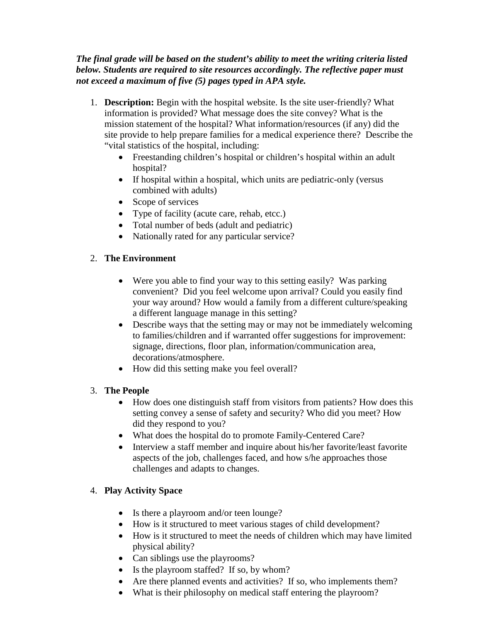# *The final grade will be based on the student's ability to meet the writing criteria listed below. Students are required to site resources accordingly. The reflective paper must not exceed a maximum of five (5) pages typed in APA style.*

- 1. **Description:** Begin with the hospital website. Is the site user-friendly? What information is provided? What message does the site convey? What is the mission statement of the hospital? What information/resources (if any) did the site provide to help prepare families for a medical experience there? Describe the "vital statistics of the hospital, including:
	- Freestanding children's hospital or children's hospital within an adult hospital?
	- If hospital within a hospital, which units are pediatric-only (versus combined with adults)
	- Scope of services
	- Type of facility (acute care, rehab, etcc.)
	- Total number of beds (adult and pediatric)
	- Nationally rated for any particular service?

# 2. **The Environment**

- Were you able to find your way to this setting easily? Was parking convenient? Did you feel welcome upon arrival? Could you easily find your way around? How would a family from a different culture/speaking a different language manage in this setting?
- Describe ways that the setting may or may not be immediately welcoming to families/children and if warranted offer suggestions for improvement: signage, directions, floor plan, information/communication area, decorations/atmosphere.
- How did this setting make you feel overall?

# 3. **The People**

- How does one distinguish staff from visitors from patients? How does this setting convey a sense of safety and security? Who did you meet? How did they respond to you?
- What does the hospital do to promote Family-Centered Care?
- Interview a staff member and inquire about his/her favorite/least favorite aspects of the job, challenges faced, and how s/he approaches those challenges and adapts to changes.

# 4. **Play Activity Space**

- Is there a playroom and/or teen lounge?
- How is it structured to meet various stages of child development?
- How is it structured to meet the needs of children which may have limited physical ability?
- Can siblings use the playrooms?
- Is the playroom staffed? If so, by whom?
- Are there planned events and activities? If so, who implements them?
- What is their philosophy on medical staff entering the playroom?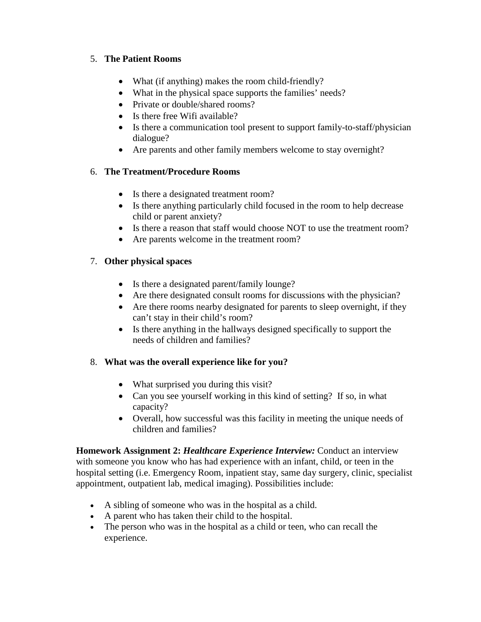# 5. **The Patient Rooms**

- What (if anything) makes the room child-friendly?
- What in the physical space supports the families' needs?
- Private or double/shared rooms?
- Is there free Wifi available?
- Is there a communication tool present to support family-to-staff/physician dialogue?
- Are parents and other family members welcome to stay overnight?

# 6. **The Treatment/Procedure Rooms**

- Is there a designated treatment room?
- Is there anything particularly child focused in the room to help decrease child or parent anxiety?
- Is there a reason that staff would choose NOT to use the treatment room?
- Are parents welcome in the treatment room?

# 7. **Other physical spaces**

- Is there a designated parent/family lounge?
- Are there designated consult rooms for discussions with the physician?
- Are there rooms nearby designated for parents to sleep overnight, if they can't stay in their child's room?
- Is there anything in the hallways designed specifically to support the needs of children and families?

# 8. **What was the overall experience like for you?**

- What surprised you during this visit?
- Can you see yourself working in this kind of setting? If so, in what capacity?
- Overall, how successful was this facility in meeting the unique needs of children and families?

**Homework Assignment 2:** *Healthcare Experience Interview:* Conduct an interview with someone you know who has had experience with an infant, child, or teen in the hospital setting (i.e. Emergency Room, inpatient stay, same day surgery, clinic, specialist appointment, outpatient lab, medical imaging). Possibilities include:

- A sibling of someone who was in the hospital as a child.
- A parent who has taken their child to the hospital.
- The person who was in the hospital as a child or teen, who can recall the experience.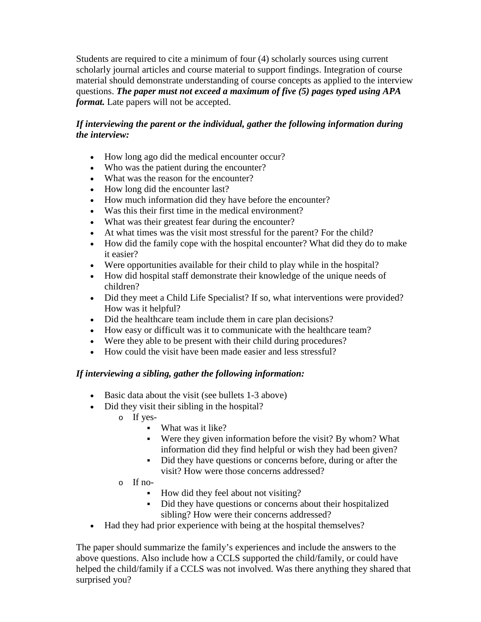Students are required to cite a minimum of four (4) scholarly sources using current scholarly journal articles and course material to support findings. Integration of course material should demonstrate understanding of course concepts as applied to the interview questions. *The paper must not exceed a maximum of five (5) pages typed using APA format*. Late papers will not be accepted.

# *If interviewing the parent or the individual, gather the following information during the interview:*

- How long ago did the medical encounter occur?
- Who was the patient during the encounter?
- What was the reason for the encounter?
- How long did the encounter last?
- How much information did they have before the encounter?
- Was this their first time in the medical environment?
- What was their greatest fear during the encounter?
- At what times was the visit most stressful for the parent? For the child?
- How did the family cope with the hospital encounter? What did they do to make it easier?
- Were opportunities available for their child to play while in the hospital?
- How did hospital staff demonstrate their knowledge of the unique needs of children?
- Did they meet a Child Life Specialist? If so, what interventions were provided? How was it helpful?
- Did the healthcare team include them in care plan decisions?
- How easy or difficult was it to communicate with the healthcare team?
- Were they able to be present with their child during procedures?
- How could the visit have been made easier and less stressful?

# *If interviewing a sibling, gather the following information:*

- Basic data about the visit (see bullets 1-3 above)
- Did they visit their sibling in the hospital?
	- o If yes-
		- What was it like?
		- Were they given information before the visit? By whom? What information did they find helpful or wish they had been given?
		- Did they have questions or concerns before, during or after the visit? How were those concerns addressed?
	- o If no-
		- How did they feel about not visiting?
		- Did they have questions or concerns about their hospitalized sibling? How were their concerns addressed?
- Had they had prior experience with being at the hospital themselves?

The paper should summarize the family's experiences and include the answers to the above questions. Also include how a CCLS supported the child/family, or could have helped the child/family if a CCLS was not involved. Was there anything they shared that surprised you?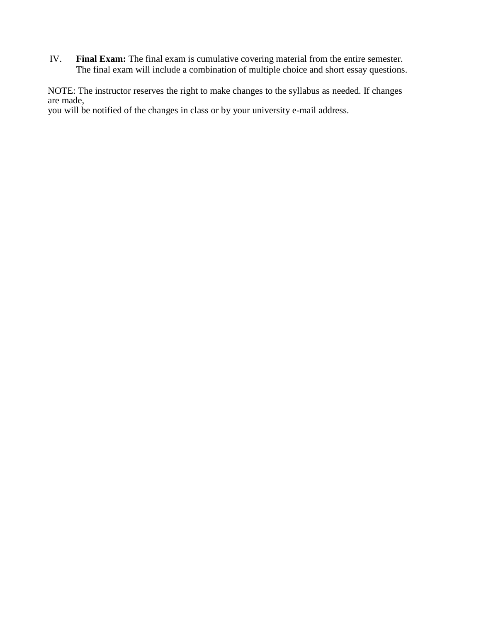IV. **Final Exam:** The final exam is cumulative covering material from the entire semester. The final exam will include a combination of multiple choice and short essay questions.

NOTE: The instructor reserves the right to make changes to the syllabus as needed. If changes are made,

you will be notified of the changes in class or by your university e-mail address.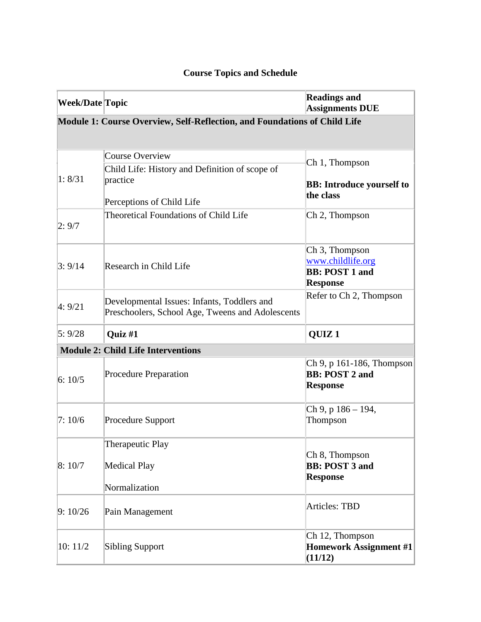# **Course Topics and Schedule**

| <b>Week/Date Topic</b>                                                    |                                                                                                 | <b>Readings and</b><br><b>Assignments DUE</b>                                               |  |  |  |
|---------------------------------------------------------------------------|-------------------------------------------------------------------------------------------------|---------------------------------------------------------------------------------------------|--|--|--|
| Module 1: Course Overview, Self-Reflection, and Foundations of Child Life |                                                                                                 |                                                                                             |  |  |  |
| 1: 8/31                                                                   | <b>Course Overview</b><br>Child Life: History and Definition of scope of                        | Ch 1, Thompson                                                                              |  |  |  |
|                                                                           | practice<br>Perceptions of Child Life                                                           | <b>BB:</b> Introduce yourself to<br>the class                                               |  |  |  |
| 2:9/7                                                                     | <b>Theoretical Foundations of Child Life</b>                                                    | Ch 2, Thompson                                                                              |  |  |  |
| 3:9/14                                                                    | Research in Child Life                                                                          | Ch <sub>3</sub> , Thompson<br>www.childlife.org<br><b>BB: POST 1 and</b><br><b>Response</b> |  |  |  |
| 4:9/21                                                                    | Developmental Issues: Infants, Toddlers and<br>Preschoolers, School Age, Tweens and Adolescents | Refer to Ch 2, Thompson                                                                     |  |  |  |
| 5:9/28                                                                    | Quiz #1                                                                                         | QUIZ <sub>1</sub>                                                                           |  |  |  |
| <b>Module 2: Child Life Interventions</b>                                 |                                                                                                 |                                                                                             |  |  |  |
| 6:10/5                                                                    | <b>Procedure Preparation</b>                                                                    | Ch 9, p 161-186, Thompson<br><b>BB: POST 2 and</b><br><b>Response</b>                       |  |  |  |
| 7:10/6                                                                    | <b>Procedure Support</b>                                                                        | Ch 9, p 186 - 194,<br>Thompson                                                              |  |  |  |
| 8:10/7                                                                    | Therapeutic Play                                                                                |                                                                                             |  |  |  |
|                                                                           | <b>Medical Play</b>                                                                             | Ch 8, Thompson<br><b>BB: POST 3 and</b><br><b>Response</b>                                  |  |  |  |
|                                                                           | Normalization                                                                                   |                                                                                             |  |  |  |
| 9:10/26                                                                   | Pain Management                                                                                 | <b>Articles: TBD</b>                                                                        |  |  |  |
| 10:11/2                                                                   | <b>Sibling Support</b>                                                                          | Ch 12, Thompson<br><b>Homework Assignment #1</b><br>(11/12)                                 |  |  |  |